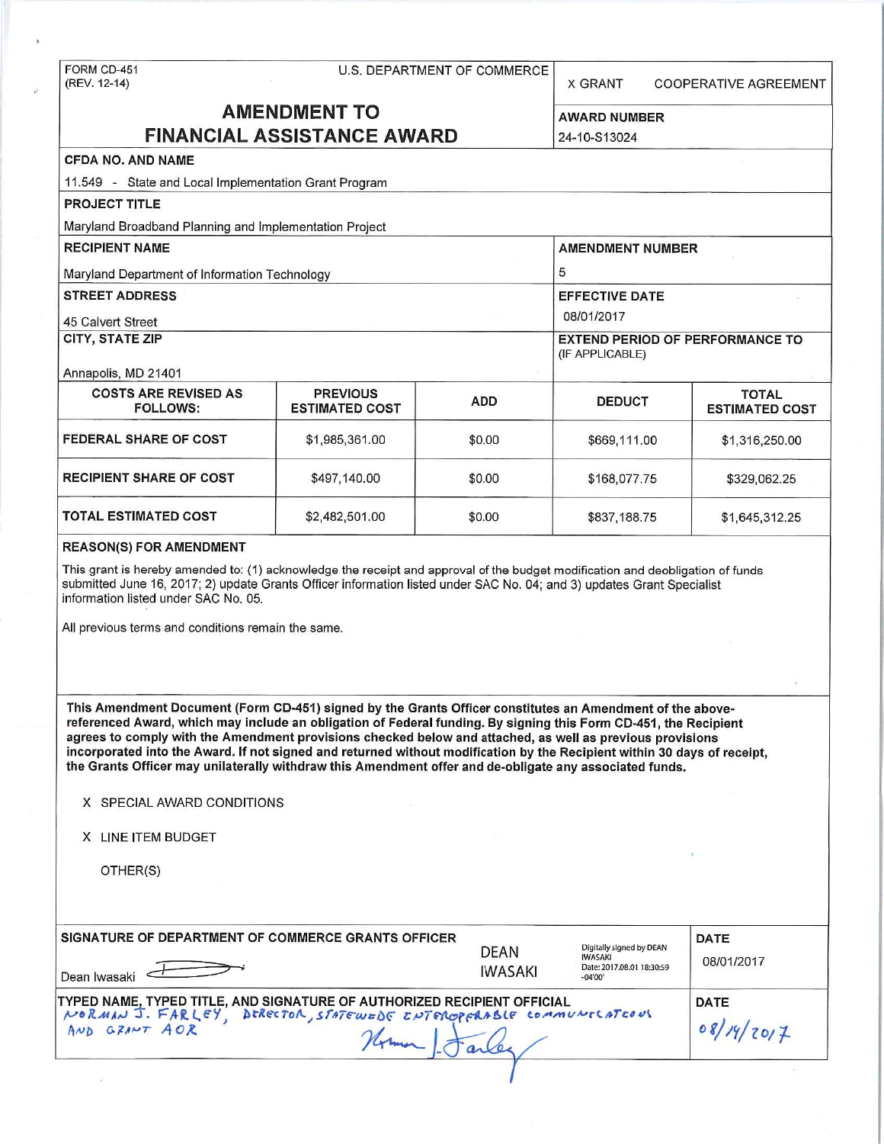# FORM CD-451 U.S. DEPARTMENT OF COMMERCE<br>(REV. 12-14)

X GRANT COOPERATIVE AGREEMENT

# **AMENDMENT TO** AWARD NUMBER **FINANCIAL ASSISTANCE AWARD** 24-10-S13024

| <b>CFDA NO. AND NAME</b>                                                                                                                                                                                                                                                                         |                                          |            |                                                           |                                       |  |
|--------------------------------------------------------------------------------------------------------------------------------------------------------------------------------------------------------------------------------------------------------------------------------------------------|------------------------------------------|------------|-----------------------------------------------------------|---------------------------------------|--|
| 11.549 - State and Local Implementation Grant Program                                                                                                                                                                                                                                            |                                          |            |                                                           |                                       |  |
| <b>PROJECT TITLE</b>                                                                                                                                                                                                                                                                             |                                          |            |                                                           |                                       |  |
| Maryland Broadband Planning and Implementation Project                                                                                                                                                                                                                                           |                                          |            |                                                           |                                       |  |
| <b>RECIPIENT NAME</b>                                                                                                                                                                                                                                                                            |                                          |            | <b>AMENDMENT NUMBER</b>                                   |                                       |  |
| Maryland Department of Information Technology                                                                                                                                                                                                                                                    |                                          |            | 5                                                         |                                       |  |
| <b>STREET ADDRESS</b>                                                                                                                                                                                                                                                                            |                                          |            | <b>EFFECTIVE DATE</b>                                     |                                       |  |
| 45 Calvert Street                                                                                                                                                                                                                                                                                |                                          |            | 08/01/2017                                                |                                       |  |
| <b>CITY, STATE ZIP</b>                                                                                                                                                                                                                                                                           |                                          |            | <b>EXTEND PERIOD OF PERFORMANCE TO</b><br>(IF APPLICABLE) |                                       |  |
| Annapolis, MD 21401                                                                                                                                                                                                                                                                              |                                          |            |                                                           |                                       |  |
| <b>COSTS ARE REVISED AS</b><br><b>FOLLOWS:</b>                                                                                                                                                                                                                                                   | <b>PREVIOUS</b><br><b>ESTIMATED COST</b> | <b>ADD</b> | <b>DEDUCT</b>                                             | <b>TOTAL</b><br><b>ESTIMATED COST</b> |  |
| <b>FEDERAL SHARE OF COST</b>                                                                                                                                                                                                                                                                     | \$1,985,361.00                           | \$0.00     | \$669,111.00                                              | \$1,316,250.00                        |  |
| <b>RECIPIENT SHARE OF COST</b>                                                                                                                                                                                                                                                                   | \$497,140.00                             | \$0.00     | \$168,077.75                                              | \$329,062.25                          |  |
| <b>TOTAL ESTIMATED COST</b>                                                                                                                                                                                                                                                                      | \$2,482,501.00                           | \$0.00     | \$837,188.75                                              | \$1,645,312.25                        |  |
| <b>REASON(S) FOR AMENDMENT</b>                                                                                                                                                                                                                                                                   |                                          |            |                                                           |                                       |  |
| This grant is hereby amended to: (1) acknowledge the receipt and approval of the budget modification and deobligation of funds<br>submitted June 16, 2017; 2) update Grants Officer information listed under SAC No. 04; and 3) updates Grant Specialist<br>information listed under SAC No. 05. |                                          |            |                                                           |                                       |  |
| All previous terms and conditions remain the same.                                                                                                                                                                                                                                               |                                          |            |                                                           |                                       |  |

This Amendment Document (Form CD-451) signed by the Grants Officer constitutes an Amendment of the abovereferenced Award, which may include an obligation of Federal funding. By signing this Form CD-451, the Recipient agrees to comply with the Amendment provisions checked below and attached, as well as previous provisions incorporated into the Award. If not signed and returned without modification by the Recipient within 30 days of receipt, the Grants Officer may unilaterally withdraw this Amendment offer and de-obligate any associated funds.

|  |  |  | X SPECIAL AWARD CONDITIONS |
|--|--|--|----------------------------|
|--|--|--|----------------------------|

X LINE ITEM BUDGET

OTHER(S)

| SIGNATURE OF DEPARTMENT OF COMMERCE GRANTS OFFICER<br>Dean Iwasaki                                                                                               | DEAN<br><b>IWASAKI</b> | Digitally signed by DEAN<br>IWASAKI<br>Date: 2017.08.01 18:30:59<br>$-04'00'$ | <b>DATE</b><br>08/01/2017 |
|------------------------------------------------------------------------------------------------------------------------------------------------------------------|------------------------|-------------------------------------------------------------------------------|---------------------------|
| TYPED NAME, TYPED TITLE, AND SIGNATURE OF AUTHORIZED RECIPIENT OFFICIAL<br>  ΝΟRΜΑΝ J. FARLEY, βτRectoA, STATEWEDE ΣΝΤΕΛΟΡΕΛΑΒίΕ COMMUNECATEOUS<br>AND GRANT AOR |                        |                                                                               | <b>DATE</b><br>08/14/2017 |
|                                                                                                                                                                  |                        |                                                                               |                           |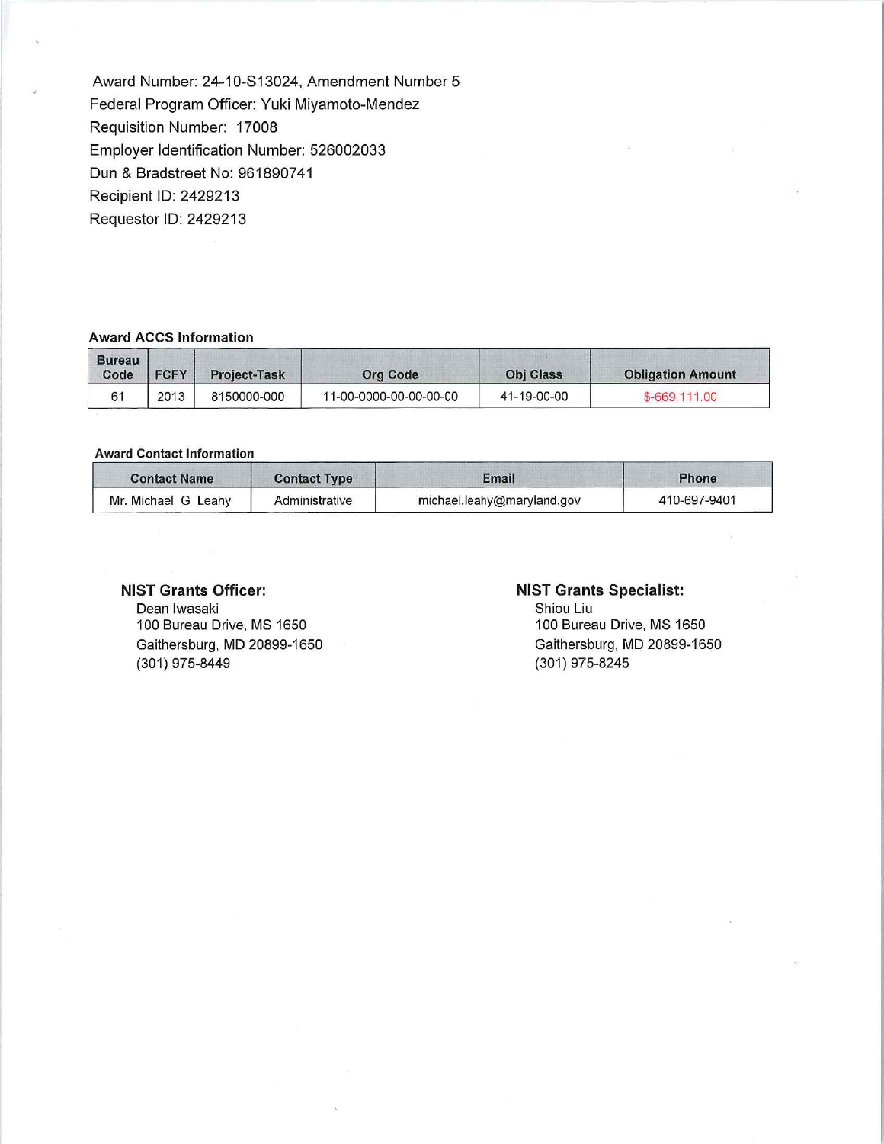Award Number: 24-10-S13024, Amendment Number 5 Federal Program Officer: Yuki Miyamoto-Mendez Requisition Number: 17008 Employer Identification Number: 526002033 Dun & Bradstreet No: 961890741 Recipient ID: 2429213 Requestor ID: 2429213

#### **Award ACCS Information**

| <b>Bureau</b><br>Code | <b>FCFY</b> | <b>Project-Task</b> | <b>Org Code</b>        | <b>Obj Class</b> | <b>Obligation Amount</b> |
|-----------------------|-------------|---------------------|------------------------|------------------|--------------------------|
| 61                    | 2013        | 8150000-000         | 11-00-0000-00-00-00-00 | 41-19-00-00      | \$-669,111,00            |

#### **Award Contact Information**

| <b>Contact Name</b> | <b>Contact Type</b> | Email                      | <b>Phone</b> |
|---------------------|---------------------|----------------------------|--------------|
| Mr. Michael G Leahy | Administrative      | michael.leahy@maryland.gov | 410-697-9401 |

### **NIST Grants Officer:**

Dean Iwasaki 100 Bureau Drive, MS 1650 Gaithersburg, MD 20899-1650 (301) 975-8449

## **NIST Grants Specialist:**

Shiou Liu 100 Bureau Drive, MS 1650 Gaithersburg, MD 20899-1650 (301) 975-8245